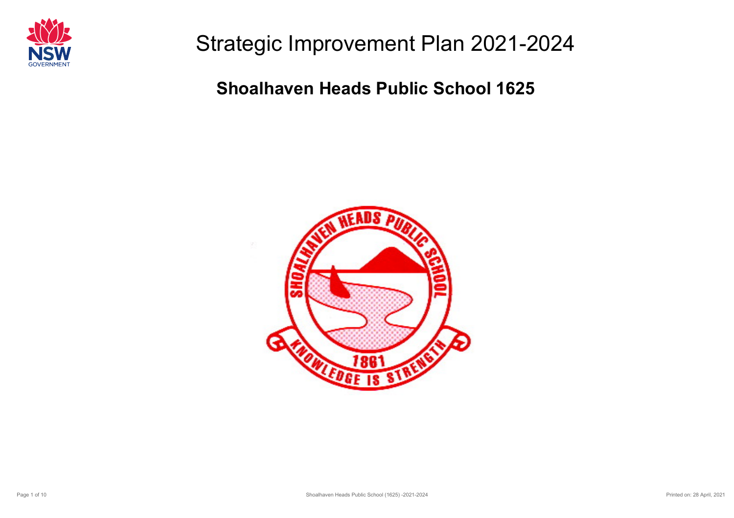

Strategic Improvement Plan 2021-2024

**Shoalhaven Heads Public School 1625**

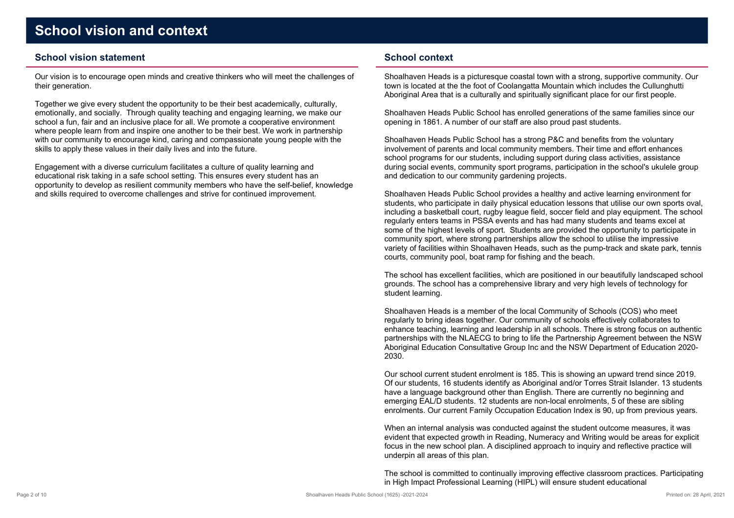### **School vision statement**

Our vision is to encourage open minds and creative thinkers who will meet the challenges oftheir generation.

Together we give every student the opportunity to be their best academically, culturally, emotionally, and socially. Through quality teaching and engaging learning, we make ourschool a fun, fair and an inclusive place for all. We promote a cooperative environment where people learn from and inspire one another to be their best. We work in partnership with our community to encourage kind, caring and compassionate young people with theskills to apply these values in their daily lives and into the future.

Engagement with a diverse curriculum facilitates a culture of quality learning and educational risk taking in a safe school setting. This ensures every student has an opportunity to develop as resilient community members who have the self-belief, knowledgeand skills required to overcome challenges and strive for continued improvement.

### **School context**

Shoalhaven Heads is a picturesque coastal town with a strong, supportive community. Ourtown is located at the the foot of Coolangatta Mountain which includes the CullunghuttiAboriginal Area that is a culturally and spiritually significant place for our first people.

Shoalhaven Heads Public School has enrolled generations of the same families since ouropening in 1861. A number of our staff are also proud past students.

Shoalhaven Heads Public School has a strong P&C and benefits from the voluntary involvement of parents and local community members. Their time and effort enhances school programs for our students, including support during class activities, assistance during social events, community sport programs, participation in the school's ukulele groupand dedication to our community gardening projects.

Shoalhaven Heads Public School provides a healthy and active learning environment for students, who participate in daily physical education lessons that utilise our own sports oval, including a basketball court, rugby league field, soccer field and play equipment. The schoolregularly enters teams in PSSA events and has had many students and teams excel at some of the highest levels of sport. Students are provided the opportunity to participate incommunity sport, where strong partnerships allow the school to utilise the impressive variety of facilities within Shoalhaven Heads, such as the pump-track and skate park, tenniscourts, community pool, boat ramp for fishing and the beach.

The school has excellent facilities, which are positioned in our beautifully landscaped schoolgrounds. The school has a comprehensive library and very high levels of technology forstudent learning.

Shoalhaven Heads is a member of the local Community of Schools (COS) who meet regularly to bring ideas together. Our community of schools effectively collaborates to enhance teaching, learning and leadership in all schools. There is strong focus on authentic partnerships with the NLAECG to bring to life the Partnership Agreement between the NSW Aboriginal Education Consultative Group Inc and the NSW Department of Education 2020-2030.

Our school current student enrolment is 185. This is showing an upward trend since 2019. Of our students, 16 students identify as Aboriginal and/or Torres Strait Islander. 13 studentshave a language background other than English. There are currently no beginning and emerging EAL/D students. 12 students are non-local enrolments, 5 of these are siblingenrolments. Our current Family Occupation Education Index is 90, up from previous years.

When an internal analysis was conducted against the student outcome measures, it was evident that expected growth in Reading, Numeracy and Writing would be areas for explicitfocus in the new school plan. A disciplined approach to inquiry and reflective practice willunderpin all areas of this plan.

The school is committed to continually improving effective classroom practices. Participatingin High Impact Professional Learning (HIPL) will ensure student educational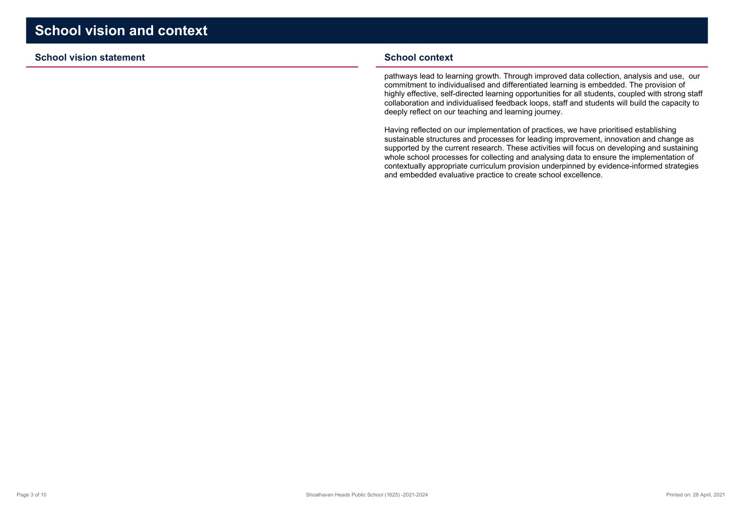### **School vision statement**

#### **School context**

pathways lead to learning growth. Through improved data collection, analysis and use, ourcommitment to individualised and differentiated learning is embedded. The provision of highly effective, self-directed learning opportunities for all students, coupled with strong staff collaboration and individualised feedback loops, staff and students will build the capacity todeeply reflect on our teaching and learning journey.

Having reflected on our implementation of practices, we have prioritised establishing sustainable structures and processes for leading improvement, innovation and change as supported by the current research. These activities will focus on developing and sustaining whole school processes for collecting and analysing data to ensure the implementation of contextually appropriate curriculum provision underpinned by evidence-informed strategiesand embedded evaluative practice to create school excellence.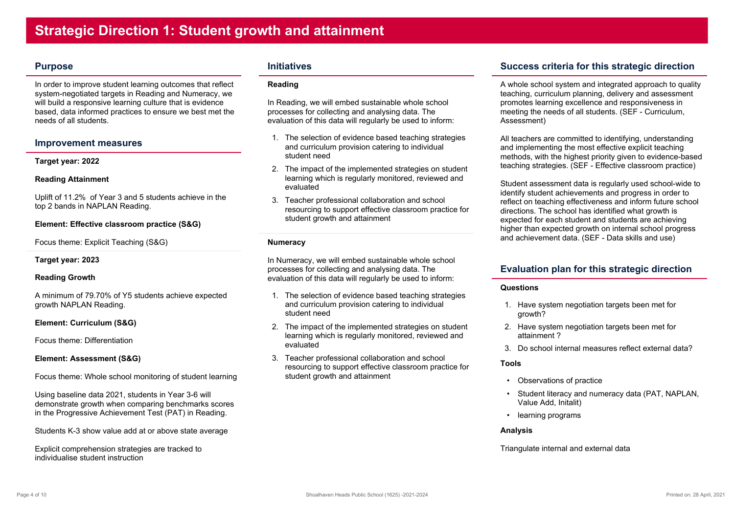### **Purpose**

In order to improve student learning outcomes that reflect system-negotiated targets in Reading and Numeracy, wewill build a responsive learning culture that is evidence based, data informed practices to ensure we best met theneeds of all students.

### **Improvement measures**

#### **Target year: 2022**

#### **Reading Attainment**

Uplift of 11.2% of Year 3 and 5 students achieve in thetop 2 bands in NAPLAN Reading.

### **Element: Effective classroom practice (S&G)**

Focus theme: Explicit Teaching (S&G)

**Target year: 2023**

### **Reading Growth**

A minimum of 79.70% of Y5 students achieve expectedgrowth NAPLAN Reading.

#### **Element: Curriculum (S&G)**

Focus theme: Differentiation

**Element: Assessment (S&G)**

Focus theme: Whole school monitoring of student learning

Using baseline data 2021, students in Year 3-6 will demonstrate growth when comparing benchmarks scoresin the Progressive Achievement Test (PAT) in Reading.

Students K-3 show value add at or above state average

Explicit comprehension strategies are tracked toindividualise student instruction

### **Initiatives**

#### **Reading**

In Reading, we will embed sustainable whole schoolprocesses for collecting and analysing data. Theevaluation of this data will regularly be used to inform:

- 1. The selection of evidence based teaching strategiesand curriculum provision catering to individualstudent need
- 2. The impact of the implemented strategies on student learning which is regularly monitored, reviewed andevaluated
- 3. Teacher professional collaboration and school resourcing to support effective classroom practice forstudent growth and attainment

### **Numeracy**

In Numeracy, we will embed sustainable whole schoolprocesses for collecting and analysing data. Theevaluation of this data will regularly be used to inform:

- 1. The selection of evidence based teaching strategiesand curriculum provision catering to individualstudent need
- 2. The impact of the implemented strategies on student learning which is regularly monitored, reviewed andevaluated
- 3. Teacher professional collaboration and school resourcing to support effective classroom practice forstudent growth and attainment

# **Success criteria for this strategic direction**

A whole school system and integrated approach to qualityteaching, curriculum planning, delivery and assessmentpromotes learning excellence and responsiveness in meeting the needs of all students. (SEF - Curriculum,Assessment)

All teachers are committed to identifying, understandingand implementing the most effective explicit teaching methods, with the highest priority given to evidence-basedteaching strategies. (SEF - Effective classroom practice)

Student assessment data is regularly used school-wide toidentify student achievements and progress in order to reflect on teaching effectiveness and inform future schooldirections. The school has identified what growth is expected for each student and students are achieving higher than expected growth on internal school progressand achievement data. (SEF - Data skills and use)

# **Evaluation plan for this strategic direction**

#### **Questions**

- 1. Have system negotiation targets been met forgrowth?
- 2. Have system negotiation targets been met forattainment ?
- 3. Do school internal measures reflect external data?

#### **Tools**

- Observations of practice
- Student literacy and numeracy data (PAT, NAPLAN, Value Add, Initalit)
- •learning programs

#### **Analysis**

Triangulate internal and external data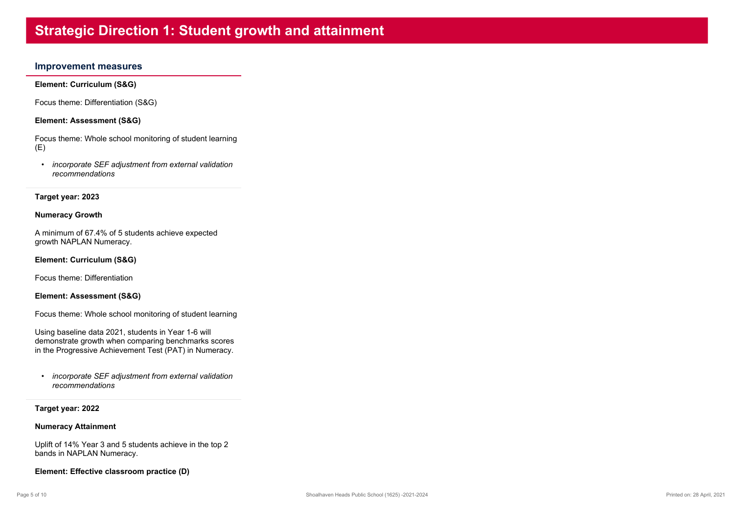# **Strategic Direction 1: Student growth and attainment**

### **Improvement measures**

**Element: Curriculum (S&G)**

Focus theme: Differentiation (S&G)

**Element: Assessment (S&G)**

Focus theme: Whole school monitoring of student learning $(E)$ 

 • *incorporate SEF adjustment from external validationrecommendations*

#### **Target year: 2023**

#### **Numeracy Growth**

A minimum of 67.4% of 5 students achieve expectedgrowth NAPLAN Numeracy.

#### **Element: Curriculum (S&G)**

Focus theme: Differentiation

#### **Element: Assessment (S&G)**

Focus theme: Whole school monitoring of student learning

Using baseline data 2021, students in Year 1-6 will demonstrate growth when comparing benchmarks scoresin the Progressive Achievement Test (PAT) in Numeracy.

 • *incorporate SEF adjustment from external validationrecommendations*

#### **Target year: 2022**

#### **Numeracy Attainment**

Uplift of 14% Year 3 and 5 students achieve in the top 2bands in NAPLAN Numeracy.

**Element: Effective classroom practice (D)**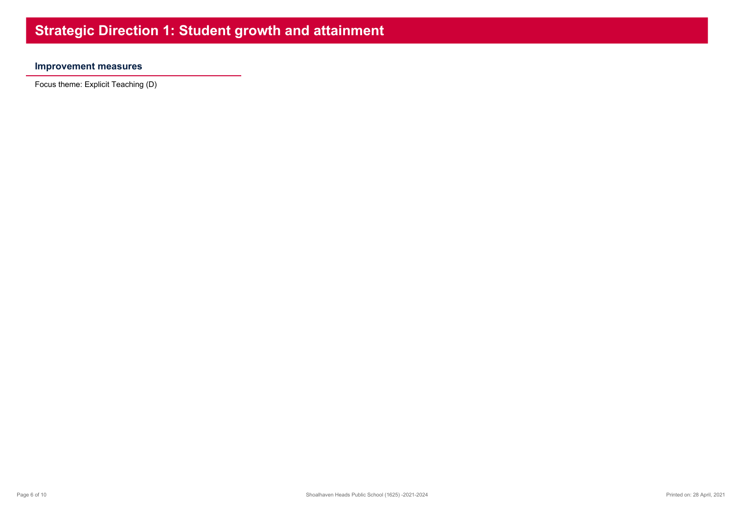# **Improvement measures**

Focus theme: Explicit Teaching (D)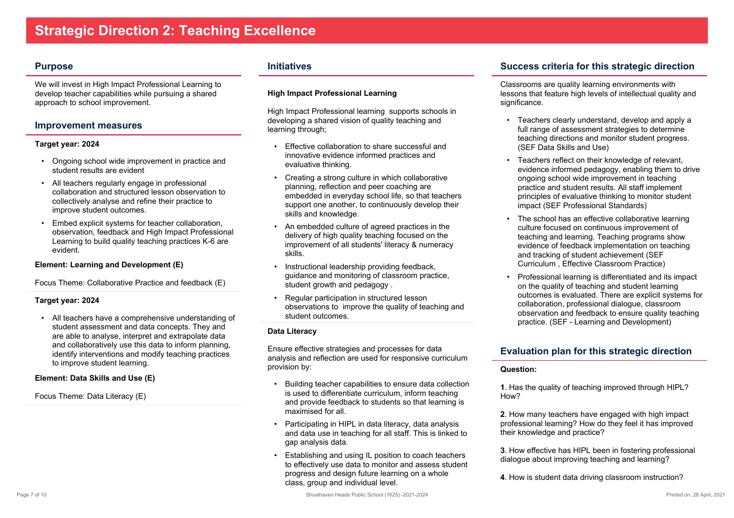### **Purpose**

We will invest in High Impact Professional Learning to develop teacher capabilities while pursuing a sharedapproach to school improvement.

### **Improvement measures**

#### **Target year: 2024**

- Ongoing school wide improvement in practice andstudent results are evident
- All teachers regularly engage in professional collaboration and structured lesson observation tocollectively analyse and refine their practice toimprove student outcomes.
- Embed explicit systems for teacher collaboration, observation, feedback and High Impact ProfessionalLearning to build quality teaching practices K-6 areevident.

### **Element: Learning and Development (E)**

Focus Theme: Collaborative Practice and feedback (E)

### **Target year: 2024**

 • All teachers have a comprehensive understanding of student assessment and data concepts. They and are able to analyse, interpret and extrapolate data and collaboratively use this data to inform planning, identify interventions and modify teaching practicesto improve student learning.

#### **Element: Data Skills and Use (E)**

Focus Theme: Data Literacy (E)

### **Initiatives**

### **High Impact Professional Learning**

High Impact Professional learning supports schools indeveloping a shared vision of quality teaching andlearning through;

- • Effective collaboration to share successful andinnovative evidence informed practices andevaluative thinking.
- Creating a strong culture in which collaborativeplanning, reflection and peer coaching are embedded in everyday school life, so that teachers support one another, to continuously develop theirskills and knowledge.
- • An embedded culture of agreed practices in the delivery of high quality teaching focused on the improvement of all students' literacy & numeracyskills.
- • Instructional leadership providing feedback, guidance and monitoring of classroom practice,student growth and pedagogy.
- • Regular participation in structured lesson observations to improve the quality of teaching andstudent outcomes.

### **Data Literacy**

Ensure effective strategies and processes for data analysis and reflection are used for responsive curriculumprovision by:

- • Building teacher capabilities to ensure data collectionis used to differentiate curriculum, inform teaching and provide feedback to students so that learning ismaximised for all.
- • Participating in HIPL in data literacy, data analysis and data use in teaching for all staff. This is linked togap analysis data.
- • Establishing and using IL position to coach teachers to effectively use data to monitor and assess studentprogress and design future learning on a wholeclass, group and individual level.

# **Success criteria for this strategic direction**

Classrooms are quality learning environments with lessons that feature high levels of intellectual quality andsignificance.

- Teachers clearly understand, develop and apply afull range of assessment strategies to determine teaching directions and monitor student progress.(SEF Data Skills and Use)
- • Teachers reflect on their knowledge of relevant, evidence informed pedagogy, enabling them to driveongoing school wide improvement in teaching practice and student results. All staff implement principles of evaluative thinking to monitor studentimpact (SEF Professional Standards)
- • The school has an effective collaborative learningculture focused on continuous improvement of teaching and learning. Teaching programs show evidence of feedback implementation on teachingand tracking of student achievement (SEFCurriculum , Effective Classroom Practice)
- • Professional learning is differentiated and its impact on the quality of teaching and student learning outcomes is evaluated. There are explicit systems forcollaboration, professional dialogue, classroom observation and feedback to ensure quality teachingpractice. (SEF - Learning and Development)

# **Evaluation plan for this strategic direction**

### **Question:**

**1**. Has the quality of teaching improved through HIPL?How?

**2**. How many teachers have engaged with high impact professional learning? How do they feel it has improvedtheir knowledge and practice?

**3**. How effective has HIPL been in fostering professionaldialogue about improving teaching and learning?

**4**. How is student data driving classroom instruction?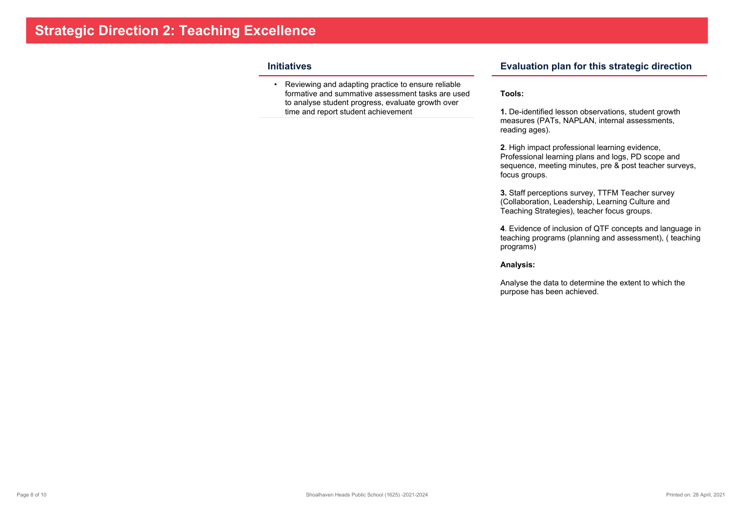### **Initiatives**

 • Reviewing and adapting practice to ensure reliable formative and summative assessment tasks are usedto analyse student progress, evaluate growth overtime and report student achievement

### **Evaluation plan for this strategic direction**

#### **Tools:**

**1.** De-identified lesson observations, student growth measures (PATs, NAPLAN, internal assessments,reading ages).

**2**. High impact professional learning evidence, Professional learning plans and logs, PD scope and sequence, meeting minutes, pre & post teacher surveys,focus groups.

**3.** Staff perceptions survey, TTFM Teacher survey (Collaboration, Leadership, Learning Culture andTeaching Strategies), teacher focus groups.

**4**. Evidence of inclusion of QTF concepts and language in teaching programs (planning and assessment), ( teachingprograms)

#### **Analysis:**

Analyse the data to determine the extent to which thepurpose has been achieved.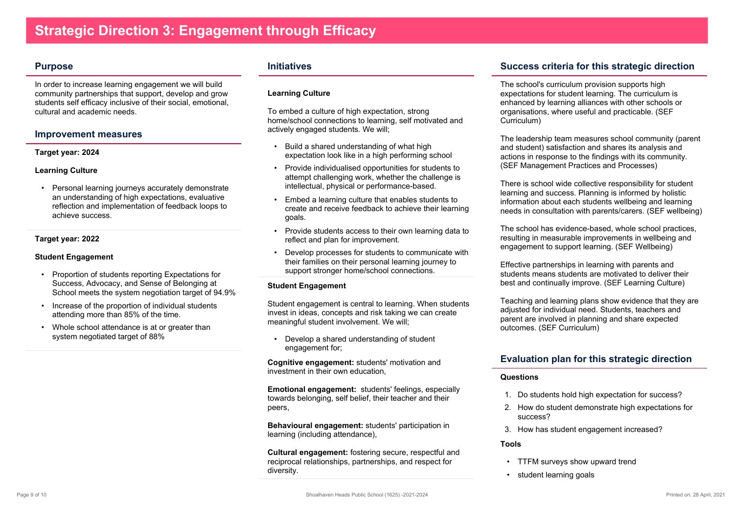### **Purpose**

In order to increase learning engagement we will build community partnerships that support, develop and grow students self efficacy inclusive of their social, emotional,cultural and academic needs.

### **Improvement measures**

#### **Target year: 2024**

#### **Learning Culture**

 • Personal learning journeys accurately demonstrate an understanding of high expectations, evaluative reflection and implementation of feedback loops toachieve success.

### **Target year: 2022**

#### **Student Engagement**

- Proportion of students reporting Expectations for Success, Advocacy, and Sense of Belonging atSchool meets the system negotiation target of 94.9%
- Increase of the proportion of individual studentsattending more than 85% of the time.
- Whole school attendance is at or greater thansystem negotiated target of 88%

### **Initiatives**

#### **Learning Culture**

To embed a culture of high expectation, strong home/school connections to learning, self motivated andactively engaged students. We will;

- • Build a shared understanding of what highexpectation look like in a high performing school
- Provide individualised opportunities for students to attempt challenging work, whether the challenge isintellectual, physical or performance-based.
- • Embed a learning culture that enables students to create and receive feedback to achieve their learninggoals.
- Provide students access to their own learning data toreflect and plan for improvement.
- • Develop processes for students to communicate withtheir families on their personal learning journey tosupport stronger home/school connections.

### **Student Engagement**

Student engagement is central to learning. When studentsinvest in ideas, concepts and risk taking we can createmeaningful student involvement. We will;

 • Develop a shared understanding of student engagement for;

**Cognitive engagement:** students' motivation andinvestment in their own education,

**Emotional engagement:** students' feelings, especiallytowards belonging, self belief, their teacher and theirpeers,

**Behavioural engagement:** students' participation inlearning (including attendance),

**Cultural engagement:** fostering secure, respectful andreciprocal relationships, partnerships, and respect fordiversity.

# **Success criteria for this strategic direction**

The school's curriculum provision supports high expectations for student learning. The curriculum is enhanced by learning alliances with other schools ororganisations, where useful and practicable. (SEFCurriculum)

The leadership team measures school community (parentand student) satisfaction and shares its analysis and actions in response to the findings with its community.(SEF Management Practices and Processes)

There is school wide collective responsibility for studentlearning and success. Planning is informed by holistic information about each students wellbeing and learningneeds in consultation with parents/carers. (SEF wellbeing)

The school has evidence-based, whole school practices,resulting in measurable improvements in wellbeing andengagement to support learning. (SEF Wellbeing)

Effective partnerships in learning with parents and students means students are motivated to deliver theirbest and continually improve. (SEF Learning Culture)

Teaching and learning plans show evidence that they areadjusted for individual need. Students, teachers and parent are involved in planning and share expectedoutcomes. (SEF Curriculum)

# **Evaluation plan for this strategic direction**

#### **Questions**

- 1. Do students hold high expectation for success?
- 2. How do student demonstrate high expectations forsuccess?
- 3. How has student engagement increased?

#### **Tools**

- TTFM surveys show upward trend
- student learning goals